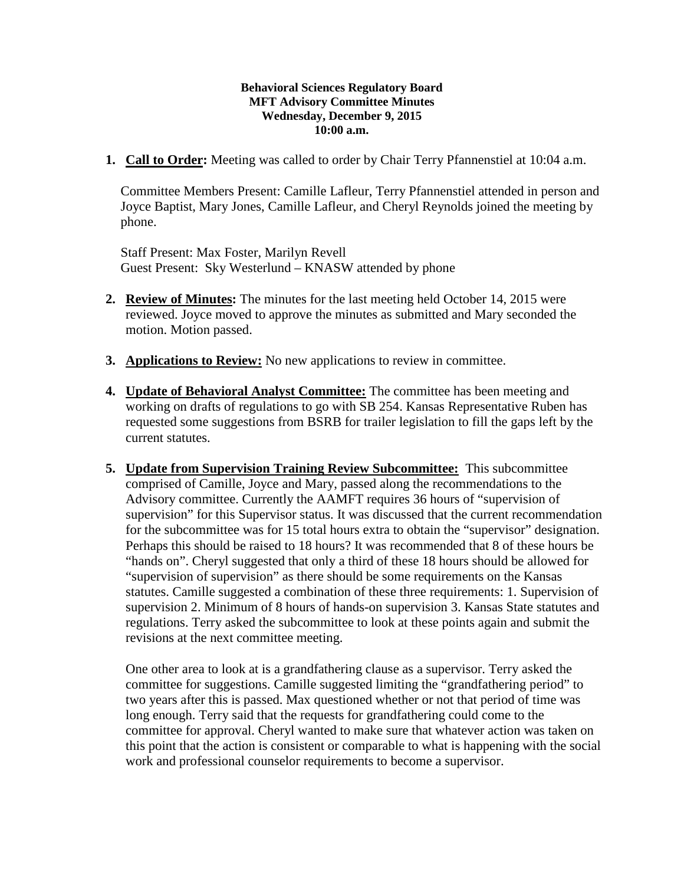## **Behavioral Sciences Regulatory Board MFT Advisory Committee Minutes Wednesday, December 9, 2015 10:00 a.m.**

**1. Call to Order:** Meeting was called to order by Chair Terry Pfannenstiel at 10:04 a.m.

Committee Members Present: Camille Lafleur, Terry Pfannenstiel attended in person and Joyce Baptist, Mary Jones, Camille Lafleur, and Cheryl Reynolds joined the meeting by phone.

Staff Present: Max Foster, Marilyn Revell Guest Present: Sky Westerlund – KNASW attended by phone

- **2. Review of Minutes:** The minutes for the last meeting held October 14, 2015 were reviewed. Joyce moved to approve the minutes as submitted and Mary seconded the motion. Motion passed.
- **3. Applications to Review:** No new applications to review in committee.
- **4. Update of Behavioral Analyst Committee:** The committee has been meeting and working on drafts of regulations to go with SB 254. Kansas Representative Ruben has requested some suggestions from BSRB for trailer legislation to fill the gaps left by the current statutes.
- **5. Update from Supervision Training Review Subcommittee:** This subcommittee comprised of Camille, Joyce and Mary, passed along the recommendations to the Advisory committee. Currently the AAMFT requires 36 hours of "supervision of supervision" for this Supervisor status. It was discussed that the current recommendation for the subcommittee was for 15 total hours extra to obtain the "supervisor" designation. Perhaps this should be raised to 18 hours? It was recommended that 8 of these hours be "hands on". Cheryl suggested that only a third of these 18 hours should be allowed for "supervision of supervision" as there should be some requirements on the Kansas statutes. Camille suggested a combination of these three requirements: 1. Supervision of supervision 2. Minimum of 8 hours of hands-on supervision 3. Kansas State statutes and regulations. Terry asked the subcommittee to look at these points again and submit the revisions at the next committee meeting.

One other area to look at is a grandfathering clause as a supervisor. Terry asked the committee for suggestions. Camille suggested limiting the "grandfathering period" to two years after this is passed. Max questioned whether or not that period of time was long enough. Terry said that the requests for grandfathering could come to the committee for approval. Cheryl wanted to make sure that whatever action was taken on this point that the action is consistent or comparable to what is happening with the social work and professional counselor requirements to become a supervisor.